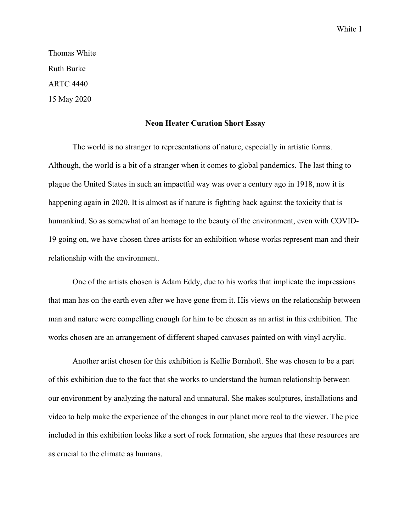White 1

Thomas White Ruth Burke ARTC 4440 15 May 2020

## **Neon Heater Curation Short Essay**

The world is no stranger to representations of nature, especially in artistic forms. Although, the world is a bit of a stranger when it comes to global pandemics. The last thing to plague the United States in such an impactful way was over a century ago in 1918, now it is happening again in 2020. It is almost as if nature is fighting back against the toxicity that is humankind. So as somewhat of an homage to the beauty of the environment, even with COVID-19 going on, we have chosen three artists for an exhibition whose works represent man and their relationship with the environment.

One of the artists chosen is Adam Eddy, due to his works that implicate the impressions that man has on the earth even after we have gone from it. His views on the relationship between man and nature were compelling enough for him to be chosen as an artist in this exhibition. The works chosen are an arrangement of different shaped canvases painted on with vinyl acrylic.

Another artist chosen for this exhibition is Kellie Bornhoft. She was chosen to be a part of this exhibition due to the fact that she works to understand the human relationship between our environment by analyzing the natural and unnatural. She makes sculptures, installations and video to help make the experience of the changes in our planet more real to the viewer. The pice included in this exhibition looks like a sort of rock formation, she argues that these resources are as crucial to the climate as humans.